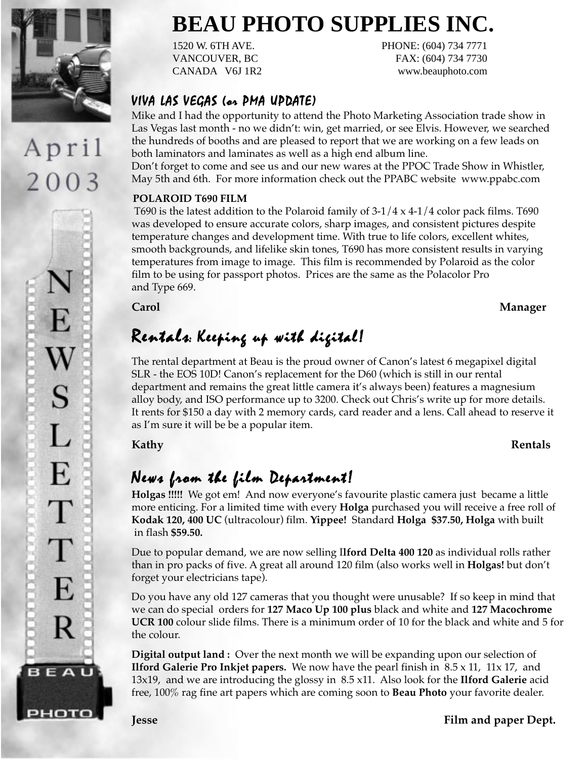

# April 2003

E S L E  $\top$  $\top$ E R BEAU

рното

# **BEAU PHOTO SUPPLIES INC.**

CANADA V6J 1R2 www.beauphoto.com

1520 W. 6TH AVE. PHONE: (604) 734 7771 VANCOUVER, BC FAX: (604) 734 7730

### VIVA LAS VEGAS (or PMA UPDATE)

Mike and I had the opportunity to attend the Photo Marketing Association trade show in Las Vegas last month - no we didn't: win, get married, or see Elvis. However, we searched the hundreds of booths and are pleased to report that we are working on a few leads on both laminators and laminates as well as a high end album line.

Don't forget to come and see us and our new wares at the PPOC Trade Show in Whistler, May 5th and 6th. For more information check out the PPABC website www.ppabc.com

### **POLAROID T690 FILM**

T690 is the latest addition to the Polaroid family of  $3-1/4 \times 4-1/4$  color pack films. T690 was developed to ensure accurate colors, sharp images, and consistent pictures despite temperature changes and development time. With true to life colors, excellent whites, smooth backgrounds, and lifelike skin tones, T690 has more consistent results in varying temperatures from image to image. This film is recommended by Polaroid as the color film to be using for passport photos. Prices are the same as the Polacolor Pro and Type 669.

## Rentals: Keeping up with digital!

The rental department at Beau is the proud owner of Canon's latest 6 megapixel digital SLR - the EOS 10D! Canon's replacement for the D60 (which is still in our rental department and remains the great little camera it's always been) features a magnesium alloy body, and ISO performance up to 3200. Check out Chris's write up for more details. It rents for \$150 a day with 2 memory cards, card reader and a lens. Call ahead to reserve it as I'm sure it will be be a popular item.

**Kathy Rentals**

## News from the film Department!

**Holgas !!!!!** We got em! And now everyone's favourite plastic camera just became a little more enticing. For a limited time with every **Holga** purchased you will receive a free roll of **Kodak 120, 400 UC** (ultracolour) film. **Yippee!** Standard **Holga \$37.50, Holga** with built in flash **\$59.50.**

Due to popular demand, we are now selling I**lford Delta 400 120** as individual rolls rather than in pro packs of five. A great all around 120 film (also works well in **Holgas!** but don't forget your electricians tape).

Do you have any old 127 cameras that you thought were unusable? If so keep in mind that we can do special orders for **127 Maco Up 100 plus** black and white and **127 Macochrome UCR 100** colour slide films. There is a minimum order of 10 for the black and white and 5 for the colour.

**Digital output land :** Over the next month we will be expanding upon our selection of **Ilford Galerie Pro Inkjet papers.** We now have the pearl finish in 8.5 x 11, 11x 17, and 13x19, and we are introducing the glossy in 8.5 x11. Also look for the **Ilford Galerie** acid free, 100% rag fine art papers which are coming soon to **Beau Photo** your favorite dealer.

**Jesse Film and paper Dept.**

**Carol Manager**